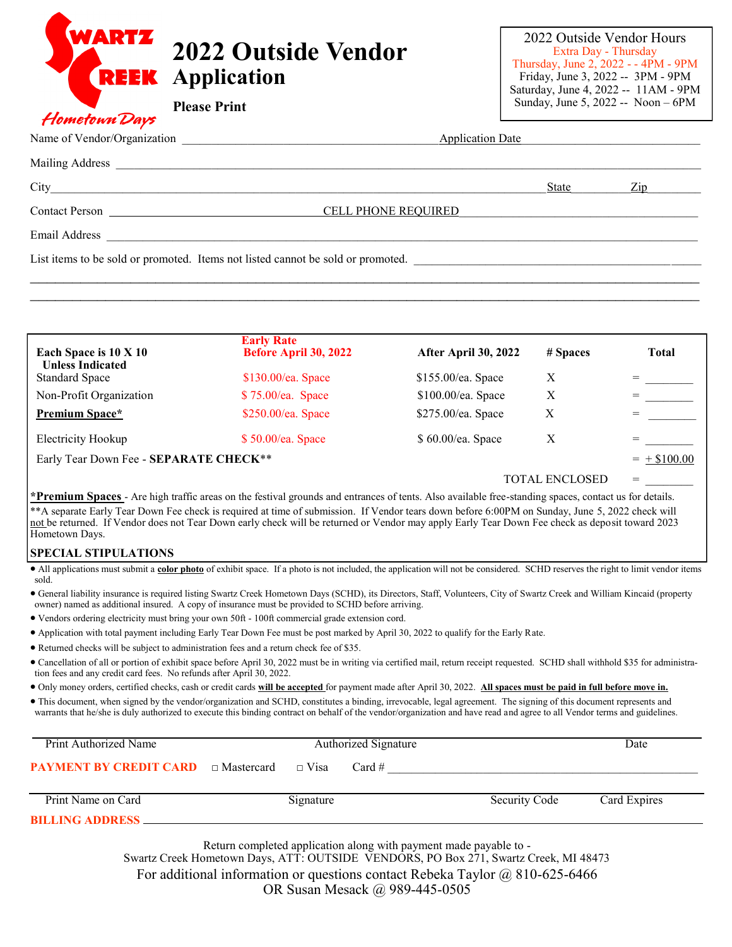| WARTZ | <b>2022 Outside Vendor</b><br><b>REEK</b> Application |
|-------|-------------------------------------------------------|
|       | <b>Please Print</b>                                   |

## Hometown Days

|                                                                                                                                                                                                                                | Application Date           |       |                                         |  |  |  |  |
|--------------------------------------------------------------------------------------------------------------------------------------------------------------------------------------------------------------------------------|----------------------------|-------|-----------------------------------------|--|--|--|--|
|                                                                                                                                                                                                                                |                            |       |                                         |  |  |  |  |
|                                                                                                                                                                                                                                |                            | State | $\frac{\text{Zip}}{\text{f}(\text{f})}$ |  |  |  |  |
|                                                                                                                                                                                                                                | <b>CELL PHONE REQUIRED</b> |       |                                         |  |  |  |  |
| Email Address and the contract of the contract of the contract of the contract of the contract of the contract of the contract of the contract of the contract of the contract of the contract of the contract of the contract |                            |       |                                         |  |  |  |  |
| List items to be sold or promoted. Items not listed cannot be sold or promoted.                                                                                                                                                |                            |       |                                         |  |  |  |  |
|                                                                                                                                                                                                                                |                            |       |                                         |  |  |  |  |

| Each Space is 10 X 10<br><b>Unless Indicated</b> | <b>Early Rate</b><br>Before April 30, 2022 | After April 30, 2022 | # Spaces              | <b>Total</b>   |
|--------------------------------------------------|--------------------------------------------|----------------------|-----------------------|----------------|
| <b>Standard Space</b>                            | \$130.00/ea. Space                         | \$155.00/ea. Space   | X                     |                |
| Non-Profit Organization                          | \$75.00/ea. Space                          | \$100.00/ea. Space   | Х                     |                |
| <b>Premium Space*</b>                            | \$250.00/ea. Space                         | \$275.00/ea. Space   | X                     |                |
| Electricity Hookup                               | $$50.00$ /ea. Space                        | \$60.00/ea. Space    | Χ                     |                |
| Early Tear Down Fee - SEPARATE CHECK**           |                                            |                      |                       | $= +$ \$100.00 |
|                                                  |                                            |                      | <b>TOTAL ENCLOSED</b> | $=$            |

**\*Premium Spaces** - Are high traffic areas on the festival grounds and entrances of tents. Also available free-standing spaces, contact us for details. \*\*A separate Early Tear Down Fee check is required at time of submission. If Vendor tears down before 6:00PM on Sunday, June 5, 2022 check will not be returned. If Vendor does not Tear Down early check will be returned or Vendor may apply Early Tear Down Fee check as deposit toward 2023 Hometown Days.

## **SPECIAL STIPULATIONS**

• All applications must submit a **color photo** of exhibit space. If a photo is not included, the application will not be considered. SCHD reserves the right to limit vendor items sold.

• General liability insurance is required listing Swartz Creek Hometown Days (SCHD), its Directors, Staff, Volunteers, City of Swartz Creek and William Kincaid (property owner) named as additional insured. A copy of insurance must be provided to SCHD before arriving.

• Vendors ordering electricity must bring your own 50ft - 100ft commercial grade extension cord.

• Application with total payment including Early Tear Down Fee must be post marked by April 30, 2022 to qualify for the Early Rate.

• Returned checks will be subject to administration fees and a return check fee of \$35.

• Cancellation of all or portion of exhibit space before April 30, 2022 must be in writing via certified mail, return receipt requested. SCHD shall withhold \$35 for administration fees and any credit card fees. No refunds after April 30, 2022.

• Only money orders, certified checks, cash or credit cards **will be accepted** for payment made after April 30, 2022. **All spaces must be paid in full before move in.**

• This document, when signed by the vendor/organization and SCHD, constitutes a binding, irrevocable, legal agreement. The signing of this document represents and warrants that he/she is duly authorized to execute this binding contract on behalf of the vendor/organization and have read and agree to all Vendor terms and guidelines.

| Print Authorized Name                                              | Authorized Signature |           |  |               | Date         |  |
|--------------------------------------------------------------------|----------------------|-----------|--|---------------|--------------|--|
| <b>PAYMENT BY CREDIT CARD</b> $\Box$ Mastercard $\Box$ Visa Card # |                      |           |  |               |              |  |
| Print Name on Card                                                 |                      | Signature |  | Security Code | Card Expires |  |
| <b>BILLING ADDRESS</b>                                             |                      |           |  |               |              |  |

Return completed application along with payment made payable to - Swartz Creek Hometown Days, ATT: OUTSIDE VENDORS, PO Box 271, Swartz Creek, MI 48473 For additional information or questions contact Rebeka Taylor @ 810-625-6466 OR Susan Mesack @ 989-445-0505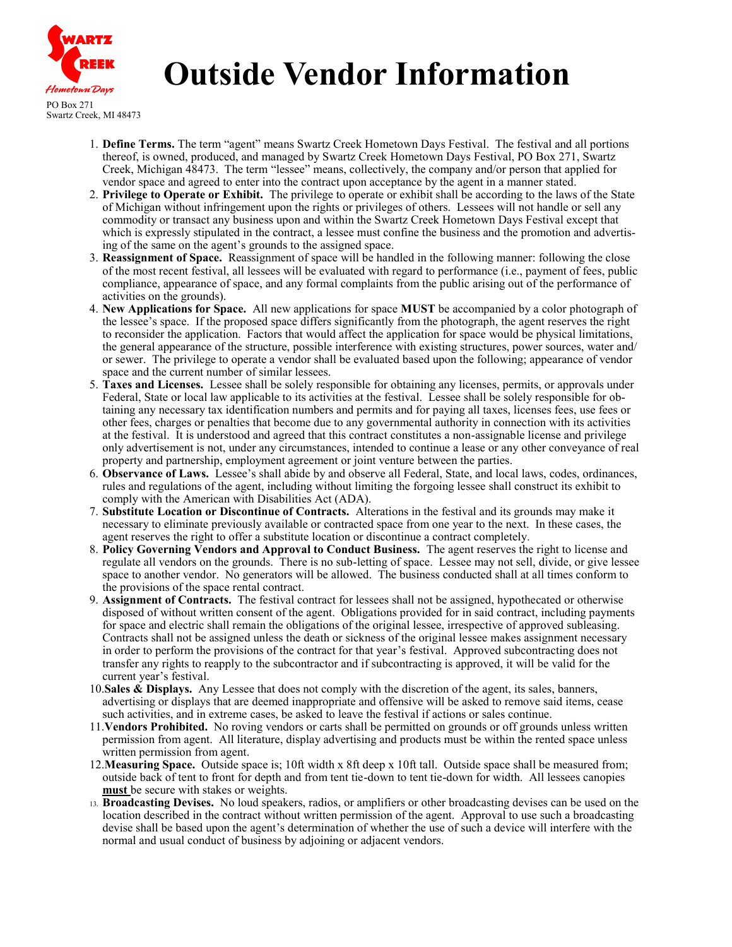

## **Outside Vendor Information**

PO Box 271 Swartz Creek, MI 48473

- 1. **Define Terms.** The term "agent" means Swartz Creek Hometown Days Festival. The festival and all portions thereof, is owned, produced, and managed by Swartz Creek Hometown Days Festival, PO Box 271, Swartz Creek, Michigan 48473. The term "lessee" means, collectively, the company and/or person that applied for vendor space and agreed to enter into the contract upon acceptance by the agent in a manner stated.
- 2. **Privilege to Operate or Exhibit.** The privilege to operate or exhibit shall be according to the laws of the State of Michigan without infringement upon the rights or privileges of others. Lessees will not handle or sell any commodity or transact any business upon and within the Swartz Creek Hometown Days Festival except that which is expressly stipulated in the contract, a lessee must confine the business and the promotion and advertising of the same on the agent's grounds to the assigned space.
- 3. **Reassignment of Space.** Reassignment of space will be handled in the following manner: following the close of the most recent festival, all lessees will be evaluated with regard to performance (i.e., payment of fees, public compliance, appearance of space, and any formal complaints from the public arising out of the performance of activities on the grounds).
- 4. **New Applications for Space.** All new applications for space **MUST** be accompanied by a color photograph of the lessee's space. If the proposed space differs significantly from the photograph, the agent reserves the right to reconsider the application. Factors that would affect the application for space would be physical limitations, the general appearance of the structure, possible interference with existing structures, power sources, water and/ or sewer. The privilege to operate a vendor shall be evaluated based upon the following; appearance of vendor space and the current number of similar lessees.
- 5. **Taxes and Licenses.** Lessee shall be solely responsible for obtaining any licenses, permits, or approvals under Federal, State or local law applicable to its activities at the festival. Lessee shall be solely responsible for obtaining any necessary tax identification numbers and permits and for paying all taxes, licenses fees, use fees or other fees, charges or penalties that become due to any governmental authority in connection with its activities at the festival. It is understood and agreed that this contract constitutes a non-assignable license and privilege only advertisement is not, under any circumstances, intended to continue a lease or any other conveyance of real property and partnership, employment agreement or joint venture between the parties.
- 6. **Observance of Laws.** Lessee's shall abide by and observe all Federal, State, and local laws, codes, ordinances, rules and regulations of the agent, including without limiting the forgoing lessee shall construct its exhibit to comply with the American with Disabilities Act (ADA).
- 7. **Substitute Location or Discontinue of Contracts.** Alterations in the festival and its grounds may make it necessary to eliminate previously available or contracted space from one year to the next. In these cases, the agent reserves the right to offer a substitute location or discontinue a contract completely.
- 8. **Policy Governing Vendors and Approval to Conduct Business.** The agent reserves the right to license and regulate all vendors on the grounds. There is no sub-letting of space. Lessee may not sell, divide, or give lessee space to another vendor. No generators will be allowed. The business conducted shall at all times conform to the provisions of the space rental contract.
- 9. **Assignment of Contracts.** The festival contract for lessees shall not be assigned, hypothecated or otherwise disposed of without written consent of the agent. Obligations provided for in said contract, including payments for space and electric shall remain the obligations of the original lessee, irrespective of approved subleasing. Contracts shall not be assigned unless the death or sickness of the original lessee makes assignment necessary in order to perform the provisions of the contract for that year's festival. Approved subcontracting does not transfer any rights to reapply to the subcontractor and if subcontracting is approved, it will be valid for the current year's festival.
- 10.**Sales & Displays.** Any Lessee that does not comply with the discretion of the agent, its sales, banners, advertising or displays that are deemed inappropriate and offensive will be asked to remove said items, cease such activities, and in extreme cases, be asked to leave the festival if actions or sales continue.
- 11.**Vendors Prohibited.** No roving vendors or carts shall be permitted on grounds or off grounds unless written permission from agent. All literature, display advertising and products must be within the rented space unless written permission from agent.
- 12.**Measuring Space.** Outside space is; 10ft width x 8ft deep x 10ft tall. Outside space shall be measured from; outside back of tent to front for depth and from tent tie-down to tent tie-down for width. All lessees canopies **must** be secure with stakes or weights.
- 13. **Broadcasting Devises.** No loud speakers, radios, or amplifiers or other broadcasting devises can be used on the location described in the contract without written permission of the agent. Approval to use such a broadcasting devise shall be based upon the agent's determination of whether the use of such a device will interfere with the normal and usual conduct of business by adjoining or adjacent vendors.